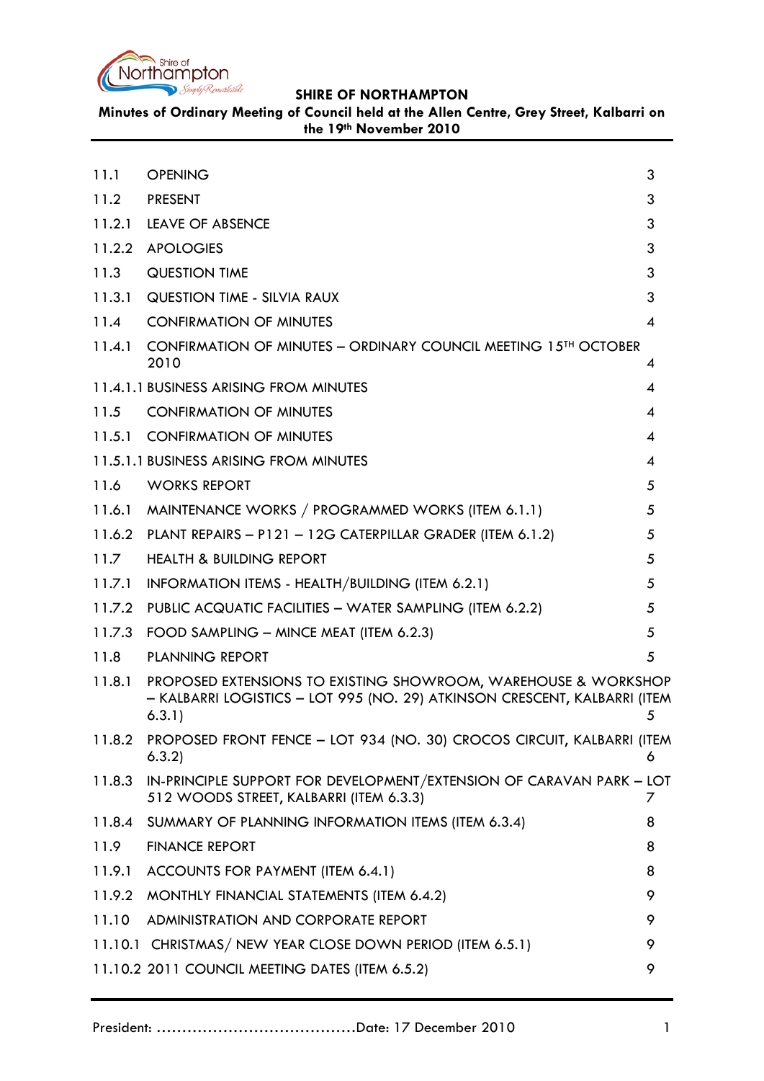

**Minutes of Ordinary Meeting of Council held at the Allen Centre, Grey Street, Kalbarri on the 19th November 2010**

<span id="page-0-0"></span>

| 11.1   | <b>OPENING</b>                                                                                                                                        | 3 |
|--------|-------------------------------------------------------------------------------------------------------------------------------------------------------|---|
| 11.2   | <b>PRESENT</b>                                                                                                                                        | 3 |
| 11.2.1 | LEAVE OF ABSENCE                                                                                                                                      | 3 |
| 11.2.2 | <b>APOLOGIES</b>                                                                                                                                      | 3 |
| 11.3   | <b>QUESTION TIME</b>                                                                                                                                  | 3 |
| 11.3.1 | <b>QUESTION TIME - SILVIA RAUX</b>                                                                                                                    | 3 |
| 11.4   | <b>CONFIRMATION OF MINUTES</b>                                                                                                                        | 4 |
| 11.4.1 | CONFIRMATION OF MINUTES - ORDINARY COUNCIL MEETING 15 <sup>TH</sup> OCTOBER<br>2010                                                                   | 4 |
|        | 11.4.1.1 BUSINESS ARISING FROM MINUTES                                                                                                                | 4 |
| 11.5   | <b>CONFIRMATION OF MINUTES</b>                                                                                                                        | 4 |
|        | 11.5.1 CONFIRMATION OF MINUTES                                                                                                                        | 4 |
|        | 11.5.1.1 BUSINESS ARISING FROM MINUTES                                                                                                                | 4 |
| 11.6   | <b>WORKS REPORT</b>                                                                                                                                   | 5 |
|        | 11.6.1 MAINTENANCE WORKS / PROGRAMMED WORKS (ITEM 6.1.1)                                                                                              | 5 |
|        | 11.6.2 PLANT REPAIRS - P121 - 12G CATERPILLAR GRADER (ITEM 6.1.2)                                                                                     | 5 |
| 11.7   | <b>HEALTH &amp; BUILDING REPORT</b>                                                                                                                   | 5 |
| 11.7.1 | INFORMATION ITEMS - HEALTH/BUILDING (ITEM 6.2.1)                                                                                                      | 5 |
| 11.7.2 | PUBLIC ACQUATIC FACILITIES - WATER SAMPLING (ITEM 6.2.2)                                                                                              | 5 |
| 11.7.3 | FOOD SAMPLING - MINCE MEAT (ITEM 6.2.3)                                                                                                               | 5 |
| 11.8   | <b>PLANNING REPORT</b>                                                                                                                                | 5 |
| 11.8.1 | PROPOSED EXTENSIONS TO EXISTING SHOWROOM, WAREHOUSE & WORKSHOP<br>- KALBARRI LOGISTICS - LOT 995 (NO. 29) ATKINSON CRESCENT, KALBARRI (ITEM<br>6.3.1) | 5 |
| 11.8.2 | PROPOSED FRONT FENCE - LOT 934 (NO. 30) CROCOS CIRCUIT, KALBARRI (ITEM<br>6.3.2)                                                                      | 6 |
| 11.8.3 | IN-PRINCIPLE SUPPORT FOR DEVELOPMENT/EXTENSION OF CARAVAN PARK - LOT<br>512 WOODS STREET, KALBARRI (ITEM 6.3.3)                                       | 7 |
|        | 11.8.4 SUMMARY OF PLANNING INFORMATION ITEMS (ITEM 6.3.4)                                                                                             | 8 |
| 11.9   | <b>FINANCE REPORT</b>                                                                                                                                 | 8 |
| 11.9.1 | ACCOUNTS FOR PAYMENT (ITEM 6.4.1)                                                                                                                     | 8 |
| 11.9.2 | MONTHLY FINANCIAL STATEMENTS (ITEM 6.4.2)                                                                                                             | 9 |
| 11.10  | ADMINISTRATION AND CORPORATE REPORT                                                                                                                   | 9 |
|        | 11.10.1 CHRISTMAS/ NEW YEAR CLOSE DOWN PERIOD (ITEM 6.5.1)                                                                                            | 9 |
|        | 11.10.2 2011 COUNCIL MEETING DATES (ITEM 6.5.2)                                                                                                       | 9 |
|        |                                                                                                                                                       |   |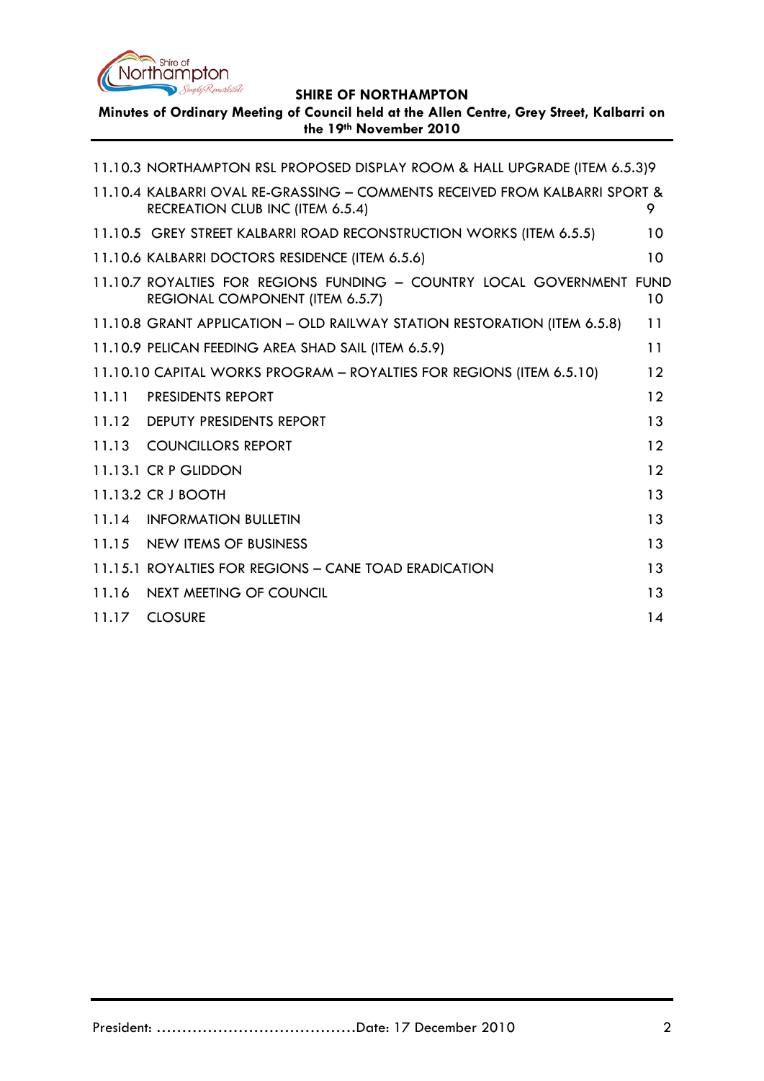

**Minutes of Ordinary Meeting of Council held at the Allen Centre, Grey Street, Kalbarri on the 19th November 2010**

|       | 11.10.3 NORTHAMPTON RSL PROPOSED DISPLAY ROOM & HALL UPGRADE (ITEM 6.5.3)9                                      |    |
|-------|-----------------------------------------------------------------------------------------------------------------|----|
|       | 11.10.4 KALBARRI OVAL RE-GRASSING - COMMENTS RECEIVED FROM KALBARRI SPORT &<br>RECREATION CLUB INC (ITEM 6.5.4) | 9. |
|       | 11.10.5 GREY STREET KALBARRI ROAD RECONSTRUCTION WORKS (ITEM 6.5.5)                                             | 10 |
|       | 11.10.6 KALBARRI DOCTORS RESIDENCE (ITEM 6.5.6)                                                                 | 10 |
|       | 11.10.7 ROYALTIES FOR REGIONS FUNDING - COUNTRY LOCAL GOVERNMENT FUND<br>REGIONAL COMPONENT (ITEM 6.5.7)        | 10 |
|       | 11.10.8 GRANT APPLICATION - OLD RAILWAY STATION RESTORATION (ITEM 6.5.8)                                        | 11 |
|       | 11.10.9 PELICAN FEEDING AREA SHAD SAIL (ITEM 6.5.9)                                                             | 11 |
|       | 11.10.10 CAPITAL WORKS PROGRAM - ROYALTIES FOR REGIONS (ITEM 6.5.10)                                            | 12 |
| 11.11 | <b>PRESIDENTS REPORT</b>                                                                                        | 12 |
|       | 11.12 DEPUTY PRESIDENTS REPORT                                                                                  | 13 |
|       | 11.13 COUNCILLORS REPORT                                                                                        | 12 |
|       | 11.13.1 CR P GLIDDON                                                                                            | 12 |
|       | 11.13.2 CR J BOOTH                                                                                              | 13 |
|       | 11.14 INFORMATION BULLETIN                                                                                      | 13 |
|       | 11.15 NEW ITEMS OF BUSINESS                                                                                     | 13 |
|       | 11.15.1 ROYALTIES FOR REGIONS - CANE TOAD ERADICATION                                                           | 13 |
| 11.16 | NEXT MEETING OF COUNCIL                                                                                         | 13 |
|       | 11.17 CLOSURE                                                                                                   | 14 |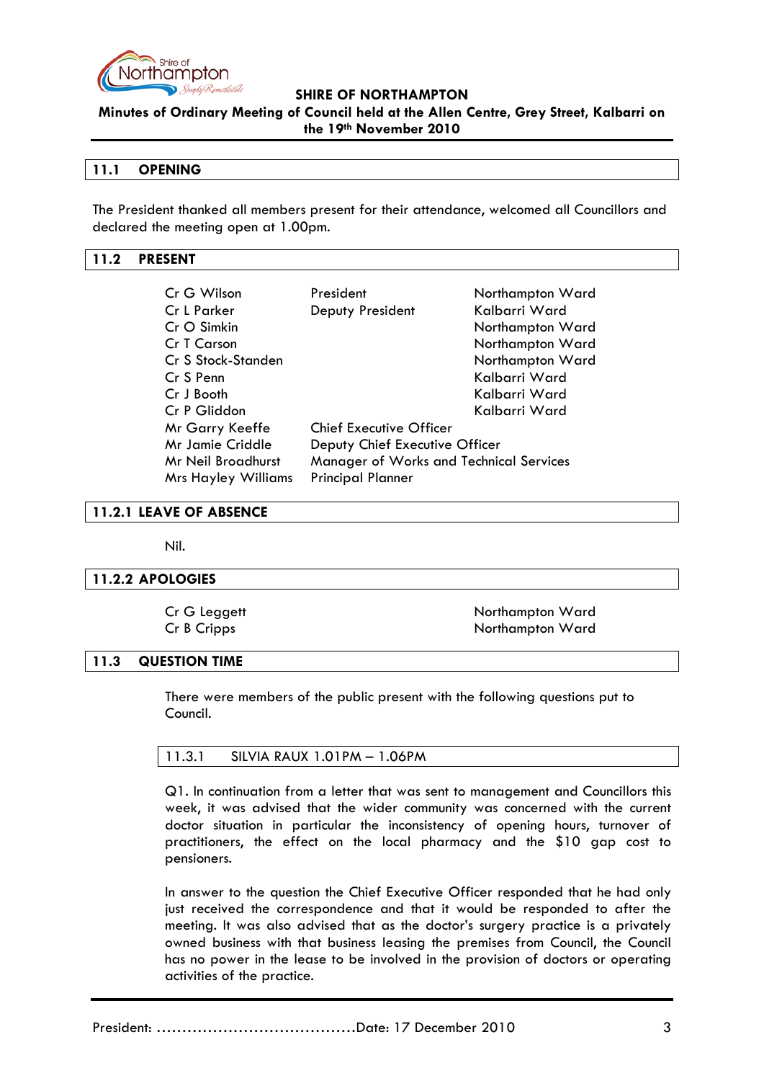

**Minutes of Ordinary Meeting of Council held at the Allen Centre, Grey Street, Kalbarri on the 19th November 2010**

## **11.1 OPENING**

The President thanked all members present for their attendance, welcomed all Councillors and declared the meeting open at 1.00pm.

# <span id="page-2-0"></span>**11.2 PRESENT**

| Cr G Wilson                | President                               | Northampton Ward |  |
|----------------------------|-----------------------------------------|------------------|--|
| <b>Cr L Parker</b>         | Deputy President                        | Kalbarri Ward    |  |
| $CrO$ Simkin               |                                         | Northampton Ward |  |
| Cr T Carson                |                                         | Northampton Ward |  |
| Cr S Stock-Standen         |                                         | Northampton Ward |  |
| Cr S Penn                  |                                         | Kalbarri Ward    |  |
| Cr J Booth                 |                                         | Kalbarri Ward    |  |
| Cr P Gliddon               |                                         | Kalbarri Ward    |  |
| Mr Garry Keeffe            | <b>Chief Executive Officer</b>          |                  |  |
| Mr Jamie Criddle           | Deputy Chief Executive Officer          |                  |  |
| Mr Neil Broadhurst         | Manager of Works and Technical Services |                  |  |
| <b>Mrs Hayley Williams</b> | <b>Principal Planner</b>                |                  |  |

#### <span id="page-2-1"></span>**11.2.1 LEAVE OF ABSENCE**

Nil.

#### <span id="page-2-2"></span>**11.2.2 APOLOGIES**

Cr G Leggett Northampton Ward Cr B Cripps Northampton Ward

#### <span id="page-2-3"></span>**11.3 QUESTION TIME**

There were members of the public present with the following questions put to Council.

| $\vert$ 11.3.1<br>SILVIA RAUX 1.01PM - 1.06PM |
|-----------------------------------------------|
|-----------------------------------------------|

Q1. In continuation from a letter that was sent to management and Councillors this week, it was advised that the wider community was concerned with the current doctor situation in particular the inconsistency of opening hours, turnover of practitioners, the effect on the local pharmacy and the \$10 gap cost to pensioners.

In answer to the question the Chief Executive Officer responded that he had only just received the correspondence and that it would be responded to after the meeting. It was also advised that as the doctor's surgery practice is a privately owned business with that business leasing the premises from Council, the Council has no power in the lease to be involved in the provision of doctors or operating activities of the practice.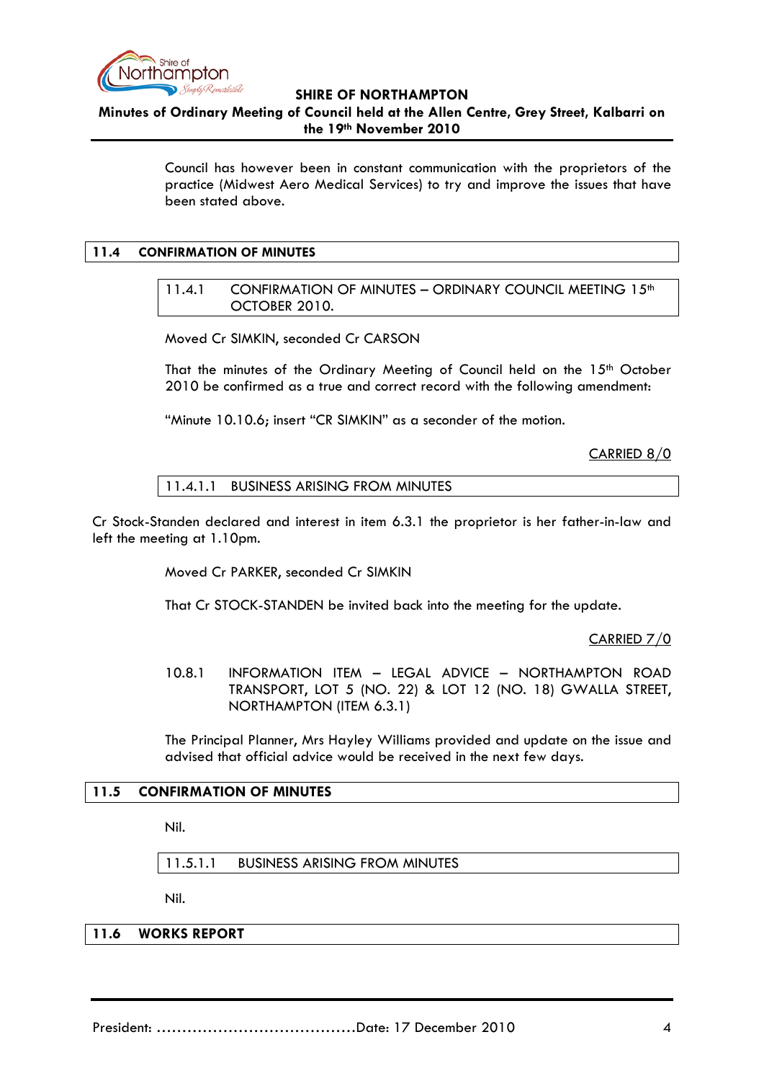

**Minutes of Ordinary Meeting of Council held at the Allen Centre, Grey Street, Kalbarri on the 19th November 2010**

> Council has however been in constant communication with the proprietors of the practice (Midwest Aero Medical Services) to try and improve the issues that have been stated above.

### <span id="page-3-1"></span><span id="page-3-0"></span>**11.4 CONFIRMATION OF MINUTES**

11.4.1 CONFIRMATION OF MINUTES - ORDINARY COUNCIL MEETING 15<sup>th</sup> OCTOBER 2010.

Moved Cr SIMKIN, seconded Cr CARSON

That the minutes of the Ordinary Meeting of Council held on the  $15<sup>th</sup>$  October 2010 be confirmed as a true and correct record with the following amendment:

"Minute 10.10.6; insert "CR SIMKIN" as a seconder of the motion.

CARRIED 8/0

11.4.1.1 BUSINESS ARISING FROM MINUTES

<span id="page-3-2"></span>Cr Stock-Standen declared and interest in item 6.3.1 the proprietor is her father-in-law and left the meeting at 1.10pm.

Moved Cr PARKER, seconded Cr SIMKIN

That Cr STOCK-STANDEN be invited back into the meeting for the update.

CARRIED 7/0

10.8.1 INFORMATION ITEM – LEGAL ADVICE – NORTHAMPTON ROAD TRANSPORT, LOT 5 (NO. 22) & LOT 12 (NO. 18) GWALLA STREET, NORTHAMPTON (ITEM 6.3.1)

The Principal Planner, Mrs Hayley Williams provided and update on the issue and advised that official advice would be received in the next few days.

#### **11.5 CONFIRMATION OF MINUTES**

Nil.

11.5.1.1 BUSINESS ARISING FROM MINUTES

Nil.

**11.6 WORKS REPORT**

President: …………………………………Date: 17 December 2010 4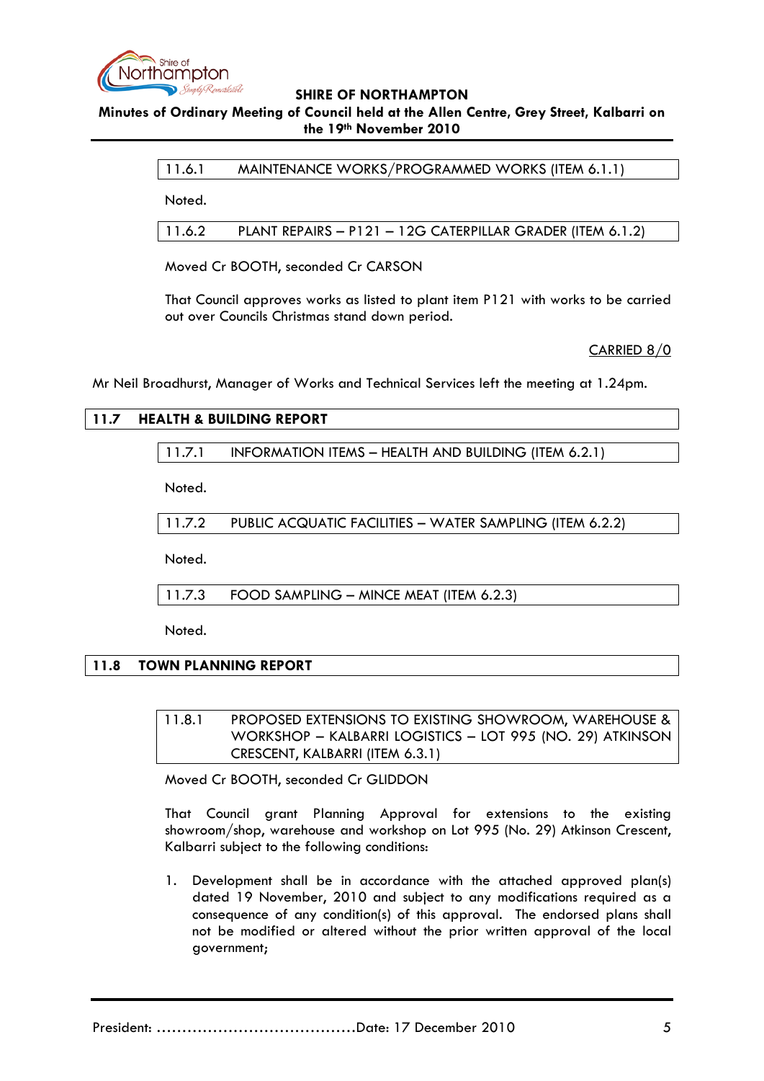

# **Minutes of Ordinary Meeting of Council held at the Allen Centre, Grey Street, Kalbarri on the 19th November 2010**

11.6.1 MAINTENANCE WORKS/PROGRAMMED WORKS (ITEM 6.1.1)

Noted.

11.6.2 PLANT REPAIRS – P121 – 12G CATERPILLAR GRADER (ITEM 6.1.2)

Moved Cr BOOTH, seconded Cr CARSON

That Council approves works as listed to plant item P121 with works to be carried out over Councils Christmas stand down period.

CARRIED 8/0

Mr Neil Broadhurst, Manager of Works and Technical Services left the meeting at 1.24pm.

# **11.7 HEALTH & BUILDING REPORT**

11.7.1 INFORMATION ITEMS – HEALTH AND BUILDING (ITEM 6.2.1)

Noted.

11.7.2 PUBLIC ACQUATIC FACILITIES – WATER SAMPLING (ITEM 6.2.2)

Noted.

11.7.3 FOOD SAMPLING – MINCE MEAT (ITEM 6.2.3)

Noted.

# **11.8 TOWN PLANNING REPORT**

11.8.1 PROPOSED EXTENSIONS TO EXISTING SHOWROOM, WAREHOUSE & WORKSHOP – KALBARRI LOGISTICS – LOT 995 (NO. 29) ATKINSON CRESCENT, KALBARRI (ITEM 6.3.1)

Moved Cr BOOTH, seconded Cr GLIDDON

That Council grant Planning Approval for extensions to the existing showroom/shop, warehouse and workshop on Lot 995 (No. 29) Atkinson Crescent, Kalbarri subject to the following conditions:

1. Development shall be in accordance with the attached approved plan(s) dated 19 November, 2010 and subject to any modifications required as a consequence of any condition(s) of this approval. The endorsed plans shall not be modified or altered without the prior written approval of the local government;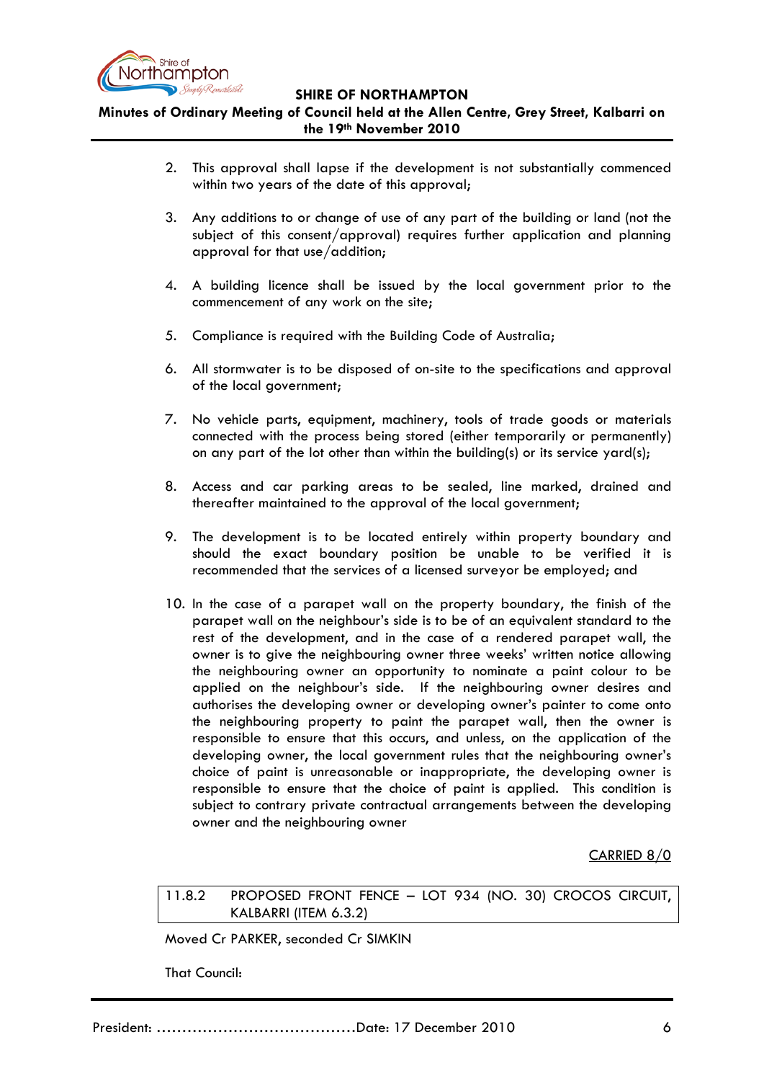

**Minutes of Ordinary Meeting of Council held at the Allen Centre, Grey Street, Kalbarri on the 19th November 2010**

- 2. This approval shall lapse if the development is not substantially commenced within two years of the date of this approval;
- 3. Any additions to or change of use of any part of the building or land (not the subject of this consent/approval) requires further application and planning approval for that use/addition;
- 4. A building licence shall be issued by the local government prior to the commencement of any work on the site;
- 5. Compliance is required with the Building Code of Australia;
- 6. All stormwater is to be disposed of on-site to the specifications and approval of the local government;
- 7. No vehicle parts, equipment, machinery, tools of trade goods or materials connected with the process being stored (either temporarily or permanently) on any part of the lot other than within the building(s) or its service yard(s);
- 8. Access and car parking areas to be sealed, line marked, drained and thereafter maintained to the approval of the local government;
- 9. The development is to be located entirely within property boundary and should the exact boundary position be unable to be verified it is recommended that the services of a licensed surveyor be employed; and
- 10. In the case of a parapet wall on the property boundary, the finish of the parapet wall on the neighbour's side is to be of an equivalent standard to the rest of the development, and in the case of a rendered parapet wall, the owner is to give the neighbouring owner three weeks' written notice allowing the neighbouring owner an opportunity to nominate a paint colour to be applied on the neighbour's side. If the neighbouring owner desires and authorises the developing owner or developing owner's painter to come onto the neighbouring property to paint the parapet wall, then the owner is responsible to ensure that this occurs, and unless, on the application of the developing owner, the local government rules that the neighbouring owner's choice of paint is unreasonable or inappropriate, the developing owner is responsible to ensure that the choice of paint is applied. This condition is subject to contrary private contractual arrangements between the developing owner and the neighbouring owner

CARRIED 8/0

11.8.2 PROPOSED FRONT FENCE – LOT 934 (NO. 30) CROCOS CIRCUIT, KALBARRI (ITEM 6.3.2)

Moved Cr PARKER, seconded Cr SIMKIN

That Council: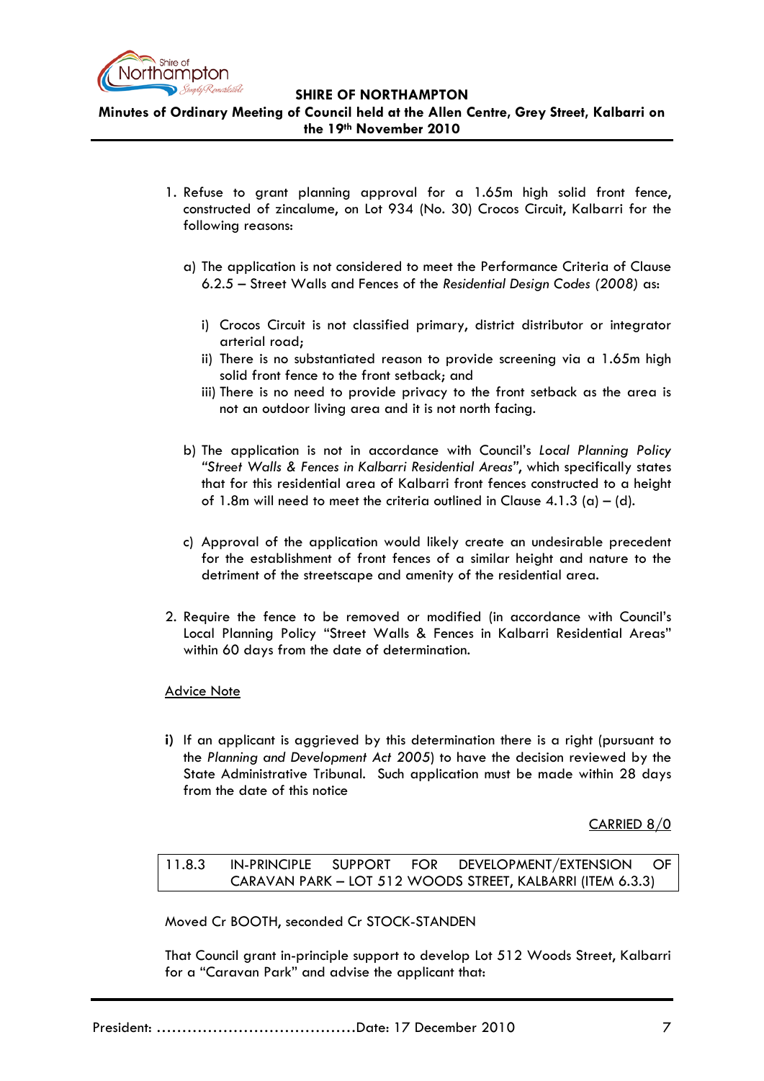

**Minutes of Ordinary Meeting of Council held at the Allen Centre, Grey Street, Kalbarri on the 19th November 2010**

- 1. Refuse to grant planning approval for a 1.65m high solid front fence, constructed of zincalume, on Lot 934 (No. 30) Crocos Circuit, Kalbarri for the following reasons:
	- a) The application is not considered to meet the Performance Criteria of Clause 6.2.5 – Street Walls and Fences of the *Residential Design Codes (2008)* as:
		- i) Crocos Circuit is not classified primary, district distributor or integrator arterial road;
		- ii) There is no substantiated reason to provide screening via a 1.65m high solid front fence to the front setback; and
		- iii) There is no need to provide privacy to the front setback as the area is not an outdoor living area and it is not north facing.
	- b) The application is not in accordance with Council's *Local Planning Policy "Street Walls & Fences in Kalbarri Residential Areas"*, which specifically states that for this residential area of Kalbarri front fences constructed to a height of 1.8m will need to meet the criteria outlined in Clause  $4.1.3$  (a) – (d).
	- c) Approval of the application would likely create an undesirable precedent for the establishment of front fences of a similar height and nature to the detriment of the streetscape and amenity of the residential area.
- 2. Require the fence to be removed or modified (in accordance with Council's Local Planning Policy "Street Walls & Fences in Kalbarri Residential Areas" within 60 days from the date of determination.

# Advice Note

**i)** If an applicant is aggrieved by this determination there is a right (pursuant to the *Planning and Development Act 2005*) to have the decision reviewed by the State Administrative Tribunal. Such application must be made within 28 days from the date of this notice

CARRIED 8/0

11.8.3 IN-PRINCIPLE SUPPORT FOR DEVELOPMENT/EXTENSION OF CARAVAN PARK – LOT 512 WOODS STREET, KALBARRI (ITEM 6.3.3)

Moved Cr BOOTH, seconded Cr STOCK-STANDEN

That Council grant in-principle support to develop Lot 512 Woods Street, Kalbarri for a "Caravan Park" and advise the applicant that: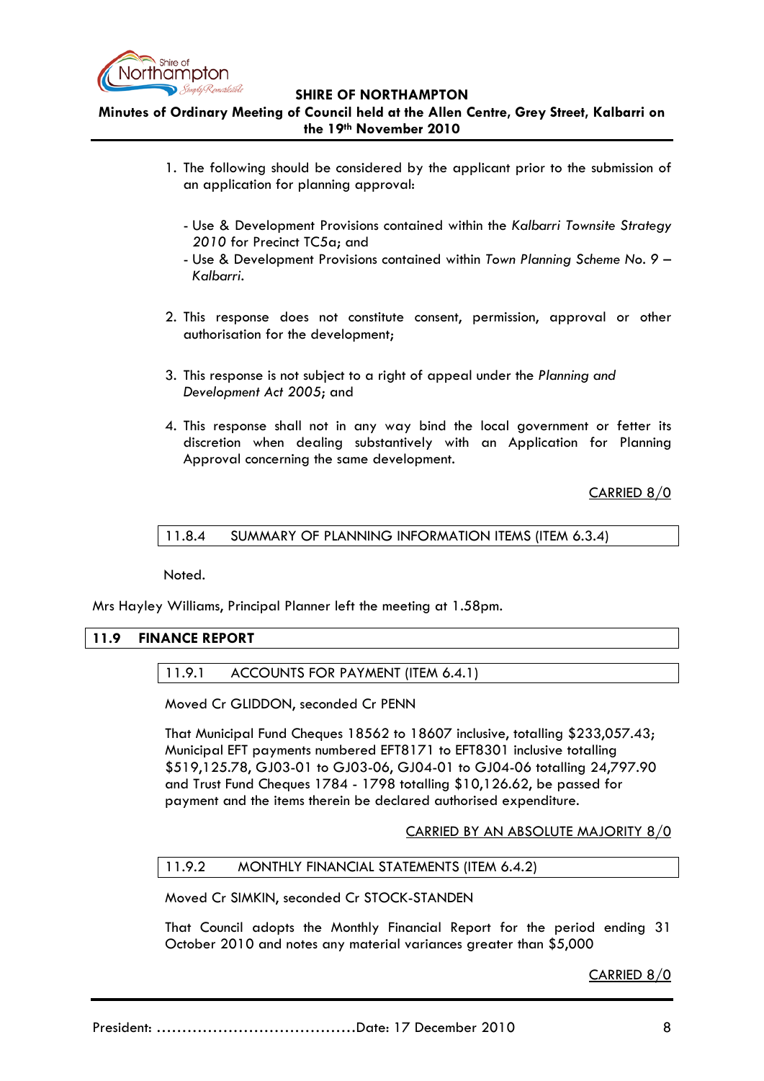

# **Minutes of Ordinary Meeting of Council held at the Allen Centre, Grey Street, Kalbarri on the 19th November 2010**

- 1. The following should be considered by the applicant prior to the submission of an application for planning approval:
	- Use & Development Provisions contained within the *Kalbarri Townsite Strategy 2010* for Precinct TC5a; and
	- Use & Development Provisions contained within *Town Planning Scheme No. 9 – Kalbarri*.
- 2. This response does not constitute consent, permission, approval or other authorisation for the development;
- 3. This response is not subject to a right of appeal under the *Planning and Development Act 2005*; and
- 4. This response shall not in any way bind the local government or fetter its discretion when dealing substantively with an Application for Planning Approval concerning the same development.

CARRIED 8/0

11.8.4 SUMMARY OF PLANNING INFORMATION ITEMS (ITEM 6.3.4)

Noted.

Mrs Hayley Williams, Principal Planner left the meeting at 1.58pm.

### **11.9 FINANCE REPORT**

11.9.1 ACCOUNTS FOR PAYMENT (ITEM 6.4.1)

Moved Cr GLIDDON, seconded Cr PENN

That Municipal Fund Cheques 18562 to 18607 inclusive, totalling \$233,057.43; Municipal EFT payments numbered EFT8171 to EFT8301 inclusive totalling \$519,125.78, GJ03-01 to GJ03-06, GJ04-01 to GJ04-06 totalling 24,797.90 and Trust Fund Cheques 1784 - 1798 totalling \$10,126.62, be passed for payment and the items therein be declared authorised expenditure.

CARRIED BY AN ABSOLUTE MAJORITY 8/0

### 11.9.2 MONTHLY FINANCIAL STATEMENTS (ITEM 6.4.2)

Moved Cr SIMKIN, seconded Cr STOCK-STANDEN

That Council adopts the Monthly Financial Report for the period ending 31 October 2010 and notes any material variances greater than \$5,000

CARRIED 8/0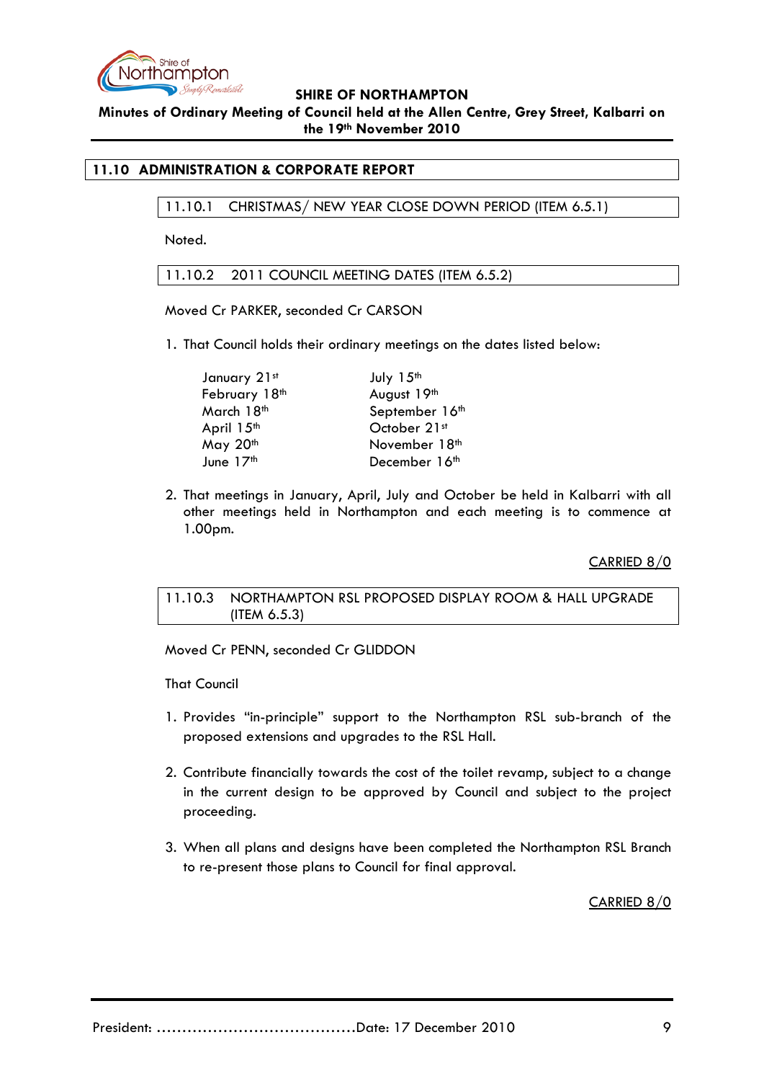

**Minutes of Ordinary Meeting of Council held at the Allen Centre, Grey Street, Kalbarri on the 19th November 2010**

# **11.10 ADMINISTRATION & CORPORATE REPORT**

11.10.1 CHRISTMAS/ NEW YEAR CLOSE DOWN PERIOD (ITEM 6.5.1)

Noted.

11.10.2 2011 COUNCIL MEETING DATES (ITEM 6.5.2)

Moved Cr PARKER, seconded Cr CARSON

1. That Council holds their ordinary meetings on the dates listed below:

| January 21st  | July 15th      |
|---------------|----------------|
| February 18th | August 19th    |
| March 18th    | September 16th |
| April 15th    | October 21st   |
| May 20th      | November 18th  |
| June 17th     | December 16th  |

2. That meetings in January, April, July and October be held in Kalbarri with all other meetings held in Northampton and each meeting is to commence at 1.00pm.

CARRIED 8/0

# 11.10.3 NORTHAMPTON RSL PROPOSED DISPLAY ROOM & HALL UPGRADE (ITEM 6.5.3)

Moved Cr PENN, seconded Cr GLIDDON

That Council

- 1. Provides "in-principle" support to the Northampton RSL sub-branch of the proposed extensions and upgrades to the RSL Hall.
- 2. Contribute financially towards the cost of the toilet revamp, subject to a change in the current design to be approved by Council and subject to the project proceeding.
- 3. When all plans and designs have been completed the Northampton RSL Branch to re-present those plans to Council for final approval.

CARRIED 8/0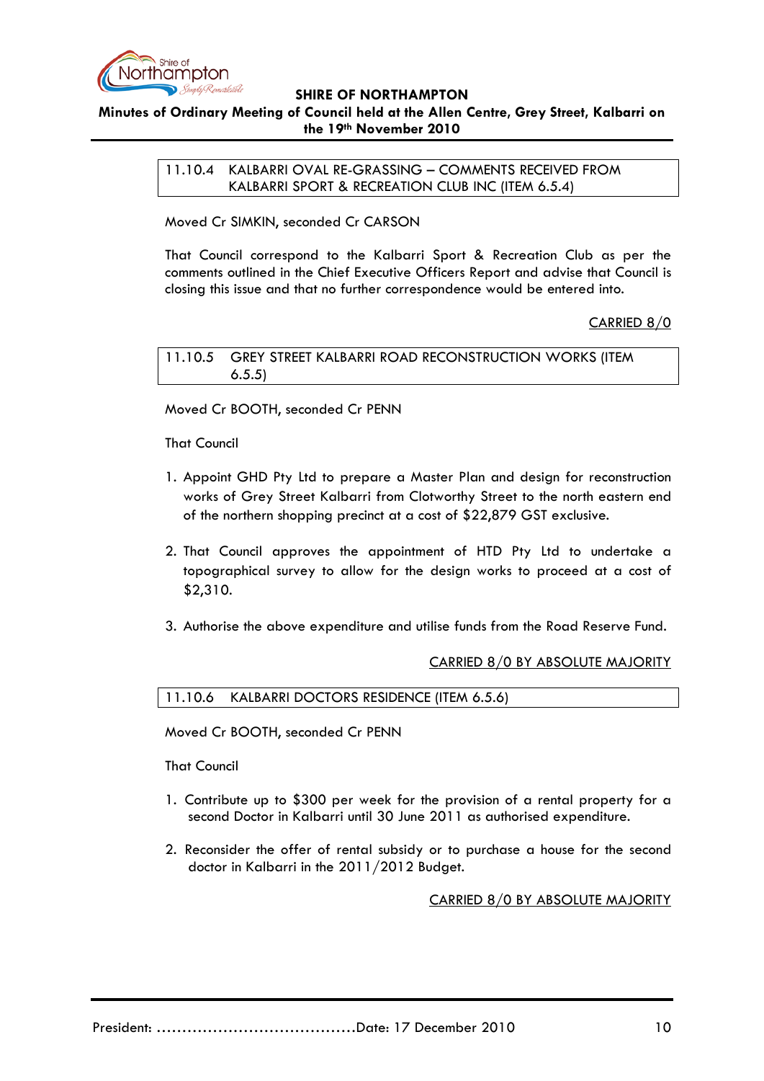

# **Minutes of Ordinary Meeting of Council held at the Allen Centre, Grey Street, Kalbarri on the 19th November 2010**

11.10.4 KALBARRI OVAL RE-GRASSING – COMMENTS RECEIVED FROM KALBARRI SPORT & RECREATION CLUB INC (ITEM 6.5.4)

Moved Cr SIMKIN, seconded Cr CARSON

That Council correspond to the Kalbarri Sport & Recreation Club as per the comments outlined in the Chief Executive Officers Report and advise that Council is closing this issue and that no further correspondence would be entered into.

# CARRIED 8/0

11.10.5 GREY STREET KALBARRI ROAD RECONSTRUCTION WORKS (ITEM 6.5.5)

Moved Cr BOOTH, seconded Cr PENN

That Council

- 1. Appoint GHD Pty Ltd to prepare a Master Plan and design for reconstruction works of Grey Street Kalbarri from Clotworthy Street to the north eastern end of the northern shopping precinct at a cost of \$22,879 GST exclusive.
- 2. That Council approves the appointment of HTD Pty Ltd to undertake a topographical survey to allow for the design works to proceed at a cost of \$2,310.
- 3. Authorise the above expenditure and utilise funds from the Road Reserve Fund.

# CARRIED 8/0 BY ABSOLUTE MAJORITY

11.10.6 KALBARRI DOCTORS RESIDENCE (ITEM 6.5.6)

Moved Cr BOOTH, seconded Cr PENN

That Council

- 1. Contribute up to \$300 per week for the provision of a rental property for a second Doctor in Kalbarri until 30 June 2011 as authorised expenditure.
- 2. Reconsider the offer of rental subsidy or to purchase a house for the second doctor in Kalbarri in the 2011/2012 Budget.

CARRIED 8/0 BY ABSOLUTE MAJORITY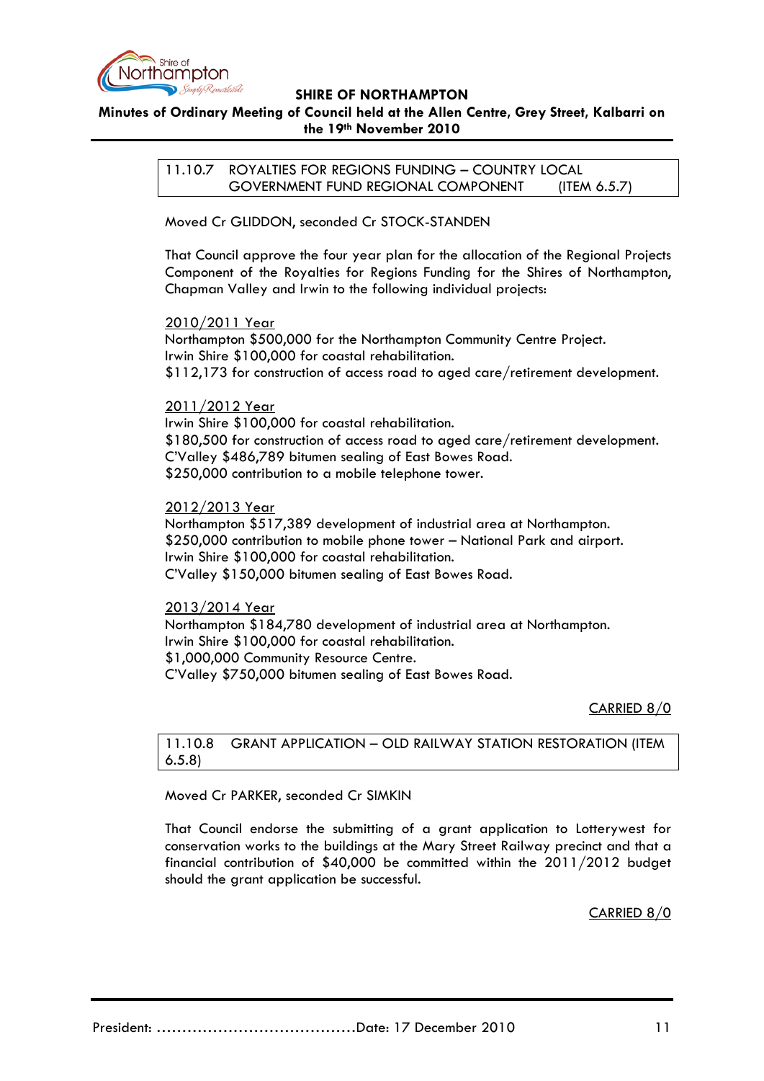

# **Minutes of Ordinary Meeting of Council held at the Allen Centre, Grey Street, Kalbarri on the 19th November 2010**

11.10.7 ROYALTIES FOR REGIONS FUNDING – COUNTRY LOCAL GOVERNMENT FUND REGIONAL COMPONENT (ITEM 6.5.7)

Moved Cr GLIDDON, seconded Cr STOCK-STANDEN

That Council approve the four year plan for the allocation of the Regional Projects Component of the Royalties for Regions Funding for the Shires of Northampton, Chapman Valley and Irwin to the following individual projects:

#### 2010/2011 Year

Northampton \$500,000 for the Northampton Community Centre Project. Irwin Shire \$100,000 for coastal rehabilitation. \$112,173 for construction of access road to aged care/retirement development.

2011/2012 Year

Irwin Shire \$100,000 for coastal rehabilitation. \$180,500 for construction of access road to aged care/retirement development. C'Valley \$486,789 bitumen sealing of East Bowes Road. \$250,000 contribution to a mobile telephone tower.

2012/2013 Year

Northampton \$517,389 development of industrial area at Northampton. \$250,000 contribution to mobile phone tower – National Park and airport. Irwin Shire \$100,000 for coastal rehabilitation. C'Valley \$150,000 bitumen sealing of East Bowes Road.

2013/2014 Year

Northampton \$184,780 development of industrial area at Northampton. Irwin Shire \$100,000 for coastal rehabilitation. \$1,000,000 Community Resource Centre. C'Valley \$750,000 bitumen sealing of East Bowes Road.

CARRIED 8/0

11.10.8 GRANT APPLICATION – OLD RAILWAY STATION RESTORATION (ITEM 6.5.8)

Moved Cr PARKER, seconded Cr SIMKIN

That Council endorse the submitting of a grant application to Lotterywest for conservation works to the buildings at the Mary Street Railway precinct and that a financial contribution of \$40,000 be committed within the 2011/2012 budget should the grant application be successful.

CARRIED 8/0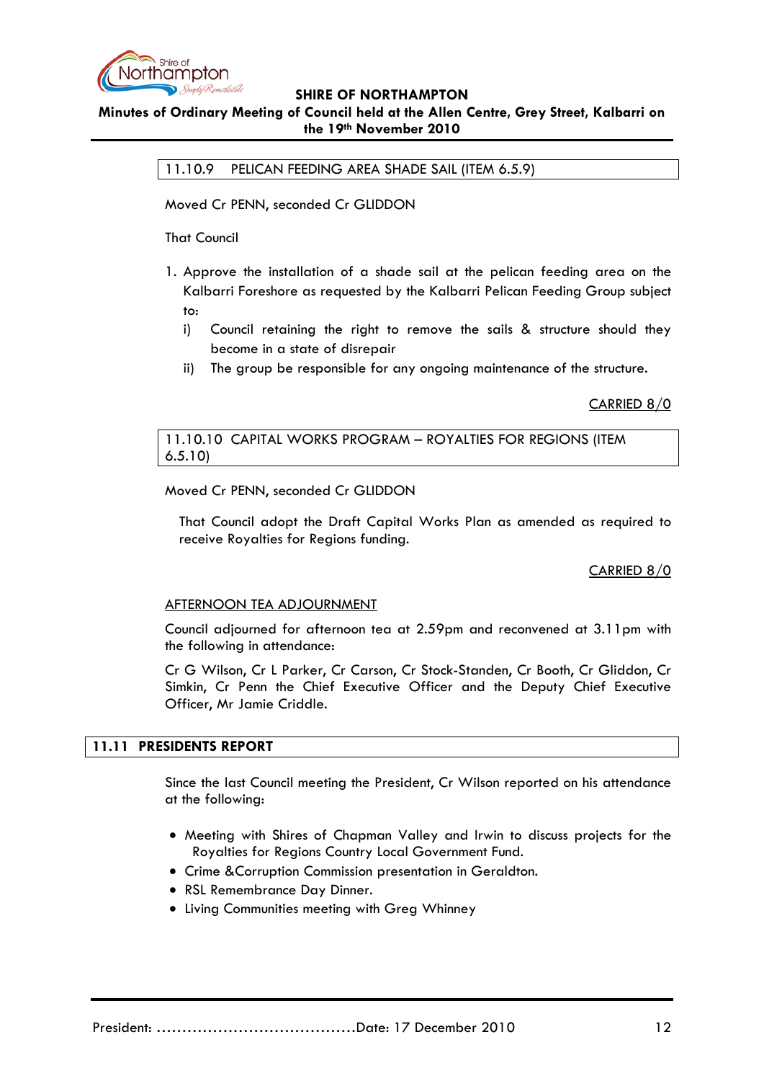

# **Minutes of Ordinary Meeting of Council held at the Allen Centre, Grey Street, Kalbarri on the 19th November 2010**

11.10.9 PELICAN FEEDING AREA SHADE SAIL (ITEM 6.5.9)

Moved Cr PENN, seconded Cr GLIDDON

That Council

- 1. Approve the installation of a shade sail at the pelican feeding area on the Kalbarri Foreshore as requested by the Kalbarri Pelican Feeding Group subject to:
	- i) Council retaining the right to remove the sails & structure should they become in a state of disrepair
	- ii) The group be responsible for any ongoing maintenance of the structure.

CARRIED 8/0

### 11.10.10 CAPITAL WORKS PROGRAM – ROYALTIES FOR REGIONS (ITEM 6.5.10)

Moved Cr PENN, seconded Cr GLIDDON

That Council adopt the Draft Capital Works Plan as amended as required to receive Royalties for Regions funding.

CARRIED 8/0

# AFTERNOON TEA ADJOURNMENT

Council adjourned for afternoon tea at 2.59pm and reconvened at 3.11pm with the following in attendance:

Cr G Wilson, Cr L Parker, Cr Carson, Cr Stock-Standen, Cr Booth, Cr Gliddon, Cr Simkin, Cr Penn the Chief Executive Officer and the Deputy Chief Executive Officer, Mr Jamie Criddle.

#### **11.11 PRESIDENTS REPORT**

Since the last Council meeting the President, Cr Wilson reported on his attendance at the following:

- Meeting with Shires of Chapman Valley and Irwin to discuss projects for the Royalties for Regions Country Local Government Fund.
- Crime &Corruption Commission presentation in Geraldton.
- RSL Remembrance Day Dinner.
- Living Communities meeting with Greg Whinney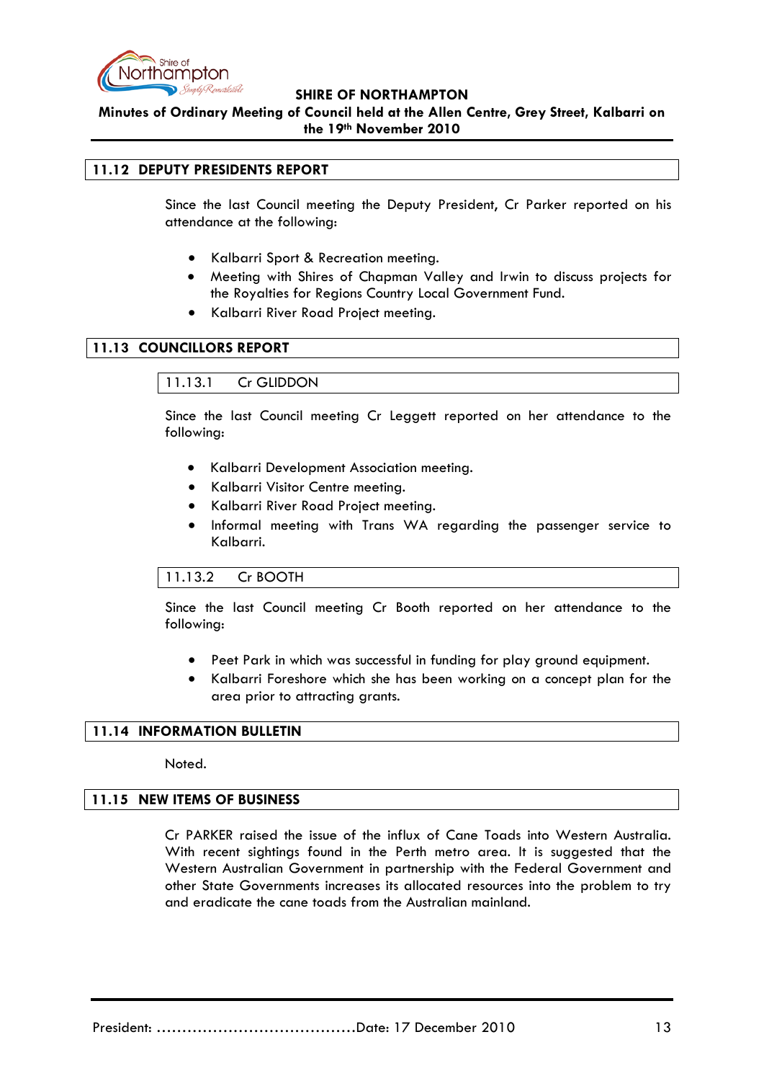

**Minutes of Ordinary Meeting of Council held at the Allen Centre, Grey Street, Kalbarri on the 19th November 2010**

### **11.12 DEPUTY PRESIDENTS REPORT**

Since the last Council meeting the Deputy President, Cr Parker reported on his attendance at the following:

- Kalbarri Sport & Recreation meeting.
- Meeting with Shires of Chapman Valley and Irwin to discuss projects for the Royalties for Regions Country Local Government Fund.
- Kalbarri River Road Project meeting.

### **11.13 COUNCILLORS REPORT**

11.13.1 Cr GLIDDON

Since the last Council meeting Cr Leggett reported on her attendance to the following:

- Kalbarri Development Association meeting.
- Kalbarri Visitor Centre meeting.
- Kalbarri River Road Project meeting.
- Informal meeting with Trans WA regarding the passenger service to Kalbarri.

#### 11.13.2 Cr BOOTH

Since the last Council meeting Cr Booth reported on her attendance to the following:

- Peet Park in which was successful in funding for play ground equipment.
- Kalbarri Foreshore which she has been working on a concept plan for the area prior to attracting grants.

#### **11.14 INFORMATION BULLETIN**

Noted.

#### **11.15 NEW ITEMS OF BUSINESS**

Cr PARKER raised the issue of the influx of Cane Toads into Western Australia. With recent sightings found in the Perth metro area. It is suggested that the Western Australian Government in partnership with the Federal Government and other State Governments increases its allocated resources into the problem to try and eradicate the cane toads from the Australian mainland.